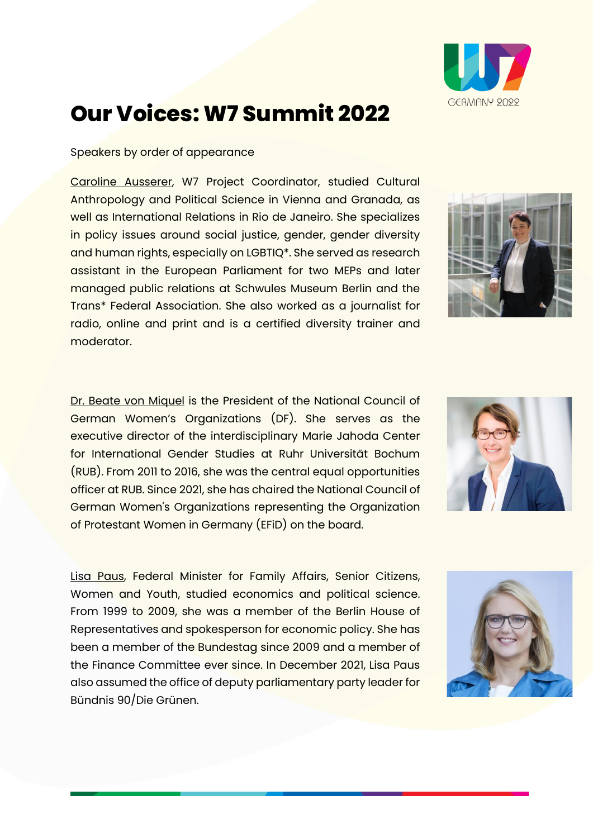

## **Our Voices: W7 Summit 2022**

## Speakers by order of appearance

Caroline Ausserer, W7 Project Coordinator, studied Cultural Anthropology and Political Science in Vienna and Granada, as well as International Relations in Rio de Janeiro. She specializes in policy issues around social justice, gender, gender diversity and human rights, especially on LGBTIQ\*. She served as research assistant in the European Parliament for two MEPs and later managed public relations at Schwules Museum Berlin and the Trans\* Federal Association. She also worked as a journalist for radio, online and print and is a certified diversity trainer and moderator.

Dr. Beate von Miquel is the President of the National Council of German Women's Organizations (DF). She serves as the executive director of the interdisciplinary Marie Jahoda Center for International Gender Studies at Ruhr Universität Bochum (RUB). From 2011 to 2016, she was the central equal opportunities officer at RUB. Since 2021, she has chaired the National Council of German Women's Organizations representing the Organization of Protestant Women in Germany (EFiD) on the board.

Lisa Paus, Federal Minister for Family Affairs, Senior Citizens, Women and Youth, studied economics and political science. From 1999 to 2009, she was a member of the Berlin House of Representatives and spokesperson for economic policy. She has been a member of the Bundestag since 2009 and a member of the Finance Committee ever since. In December 2021, Lisa Paus also assumed the office of deputy parliamentary party leader for Bündnis 90/Die Grünen.





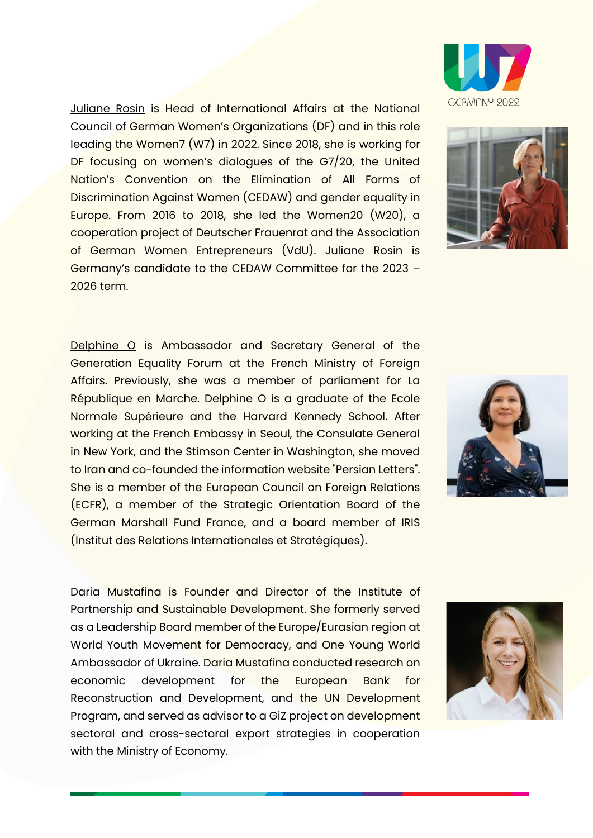Juliane Rosin is Head of International Affairs at the National Council of German Women's Organizations (DF) and in this role leading the Women7 (W7) in 2022. Since 2018, she is working for DF focusing on women's dialogues of the G7/20, the United Nation's Convention on the Elimination of All Forms of Discrimination Against Women (CEDAW) and gender equality in Europe. From 2016 to 2018, she led the Women20 (W20), a cooperation project of Deutscher Frauenrat and the Association of German Women Entrepreneurs (VdU). Juliane Rosin is Germany's candidate to the CEDAW Committee for the 2023 – 2026 term.

Delphine O is Ambassador and Secretary General of the Generation Equality Forum at the French Ministry of Foreign Affairs. Previously, she was a member of parliament for La République en Marche. Delphine O is a graduate of the Ecole Normale Supérieure and the Harvard Kennedy School. After working at the French Embassy in Seoul, the Consulate General in New York, and the Stimson Center in Washington, she moved to Iran and co-founded the information website "Persian Letters". She is a member of the European Council on Foreign Relations (ECFR), a member of the Strategic Orientation Board of the German Marshall Fund France, and a board member of IRIS (Institut des Relations Internationales et Stratégiques).

Daria Mustafina is Founder and Director of the Institute of Partnership and Sustainable Development. She formerly served as a Leadership Board member of the Europe/Eurasian region at World Youth Movement for Democracy, and One Young World Ambassador of Ukraine. Daria Mustafina conducted research on economic development for the European Bank for Reconstruction and Development, and the UN Development Program, and served as advisor to a GiZ project on development sectoral and cross-sectoral export strategies in cooperation with the Ministry of Economy.







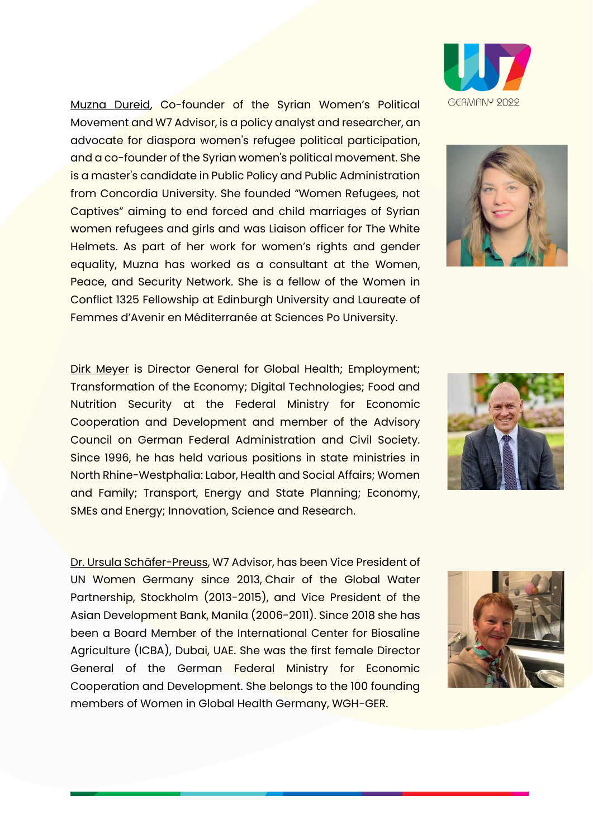Muzna Dureid, Co-founder of the Syrian Women's Political Movement and W7 Advisor, is a policy analyst and researcher, an advocate for diaspora women's refugee political participation, and a co-founder of the Syrian women's political movement. She is a master's candidate in Public Policy and Public Administration from Concordia University. She founded "Women Refugees, not Captives" aiming to end forced and child marriages of Syrian women refugees and girls and was Liaison officer for The White Helmets. As part of her work for women's rights and gender equality, Muzna has worked as a consultant at the Women, Peace, and Security Network. She is a fellow of the Women in Conflict 1325 Fellowship at Edinburgh University and Laureate of Femmes d'Avenir en Méditerranée at Sciences Po University.

Dirk Meyer is Director General for Global Health; Employment; Transformation of the Economy; Digital Technologies; Food and Nutrition Security at the Federal Ministry for Economic Cooperation and Development and member of the Advisory Council on German Federal Administration and Civil Society. Since 1996, he has held various positions in state ministries in North Rhine-Westphalia: Labor, Health and Social Affairs; Women and Family; Transport, Energy and State Planning; Economy, SMEs and Energy; Innovation, Science and Research.

Dr. Ursula Schäfer-Preuss, W7 Advisor, has been Vice President of UN Women Germany since 2013, Chair of the Global Water Partnership, Stockholm (2013-2015), and Vice President of the Asian Development Bank, Manila (2006-2011). Since 2018 she has been a Board Member of the International Center for Biosaline Agriculture (ICBA), Dubai, UAE. She was the first female Director General of the German Federal Ministry for Economic Cooperation and Development. She belongs to the 100 founding members of Women in Global Health Germany, WGH-GER.







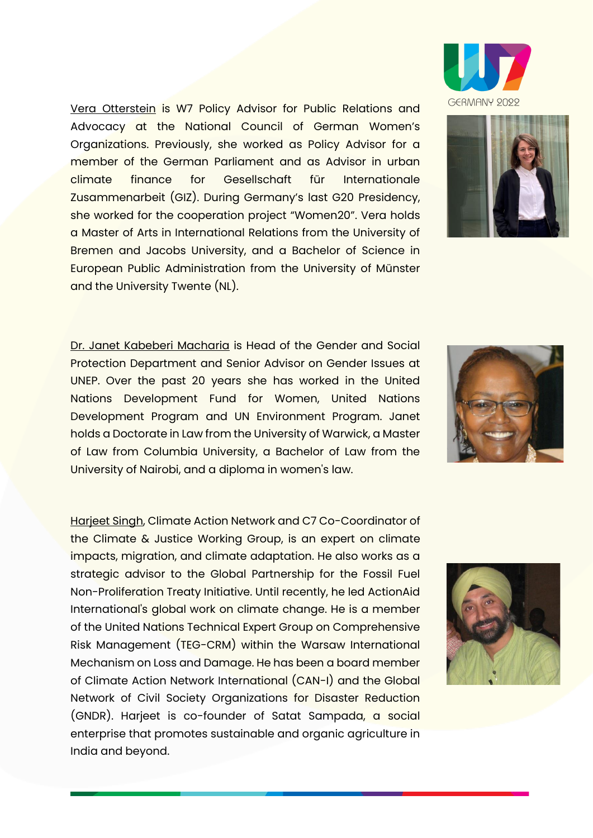Vera Otterstein is W7 Policy Advisor for Public Relations and Advocacy at the National Council of German Women's Organizations. Previously, she worked as Policy Advisor for a member of the German Parliament and as Advisor in urban climate finance for Gesellschaft für Internationale Zusammenarbeit (GIZ). During Germany's last G20 Presidency, she worked for the cooperation project "Women20". Vera holds a Master of Arts in International Relations from the University of Bremen and Jacobs University, and a Bachelor of Science in European Public Administration from the University of Münster and the University Twente (NL).

Dr. Janet Kabeberi Macharia is Head of the Gender and Social Protection Department and Senior Advisor on Gender Issues at UNEP. Over the past 20 years she has worked in the United Nations Development Fund for Women, United Nations Development Program and UN Environment Program. Janet holds a Doctorate in Law from the University of Warwick, a Master of Law from Columbia University, a Bachelor of Law from the University of Nairobi, and a diploma in women's law.

Harjeet Singh, Climate Action Network and C7 Co-Coordinator of the Climate & Justice Working Group, is an expert on climate impacts, migration, and climate adaptation. He also works as a strategic advisor to the Global Partnership for the Fossil Fuel Non-Proliferation Treaty Initiative. Until recently, he led ActionAid International's global work on climate change. He is a member of the United Nations Technical Expert Group on Comprehensive Risk Management (TEG-CRM) within the Warsaw International Mechanism on Loss and Damage. He has been a board member of Climate Action Network International (CAN-I) and the Global Network of Civil Society Organizations for Disaster Reduction (GNDR). Harjeet is co-founder of Satat Sampada, a social enterprise that promotes sustainable and organic agriculture in India and beyond.







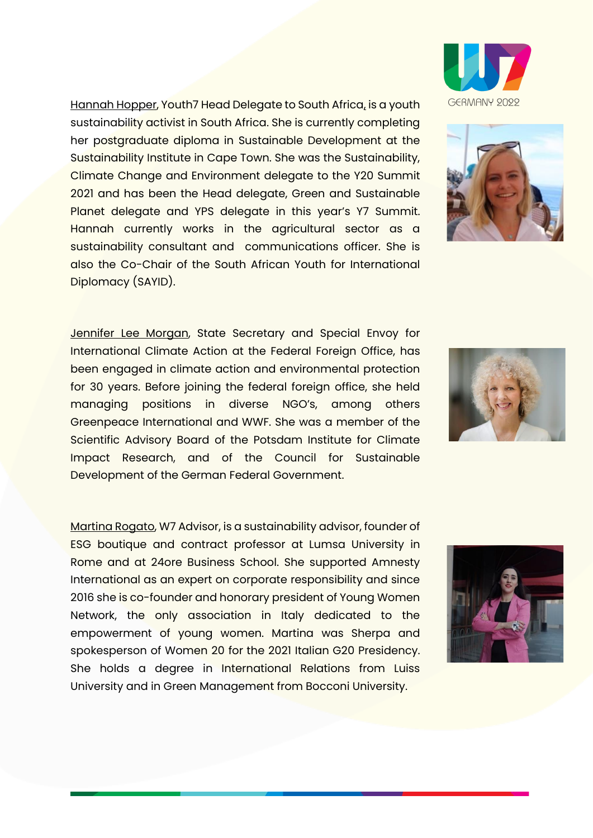Hannah Hopper, Youth7 Head Delegate to South Africa, is a youth sustainability activist in South Africa. She is currently completing her postgraduate diploma in Sustainable Development at the Sustainability Institute in Cape Town. She was the Sustainability, Climate Change and Environment delegate to the Y20 Summit 2021 and has been the Head delegate, Green and Sustainable Planet delegate and YPS delegate in this year's Y7 Summit. Hannah currently works in the agricultural sector as a sustainability consultant and communications officer. She is also the Co-Chair of the South African Youth for International Diplomacy (SAYID).

Jennifer Lee Morgan, State Secretary and Special Envoy for International Climate Action at the Federal Foreign Office, has been engaged in climate action and environmental protection for 30 years. Before joining the federal foreign office, she held managing positions in diverse NGO's, among others Greenpeace International and WWF. She was a member of the Scientific Advisory Board of the Potsdam Institute for Climate Impact Research, and of the Council for Sustainable Development of the German Federal Government.

Martina Rogato, W7 Advisor, is a sustainability advisor, founder of ESG boutique and contract professor at Lumsa University in Rome and at 24ore Business School. She supported Amnesty International as an expert on corporate responsibility and since 2016 she is co-founder and honorary president of Young Women Network, the only association in Italy dedicated to the empowerment of young women. Martina was Sherpa and spokesperson of Women 20 for the 2021 Italian G20 Presidency. She holds a degree in International Relations from Luiss University and in Green Management from Bocconi University.









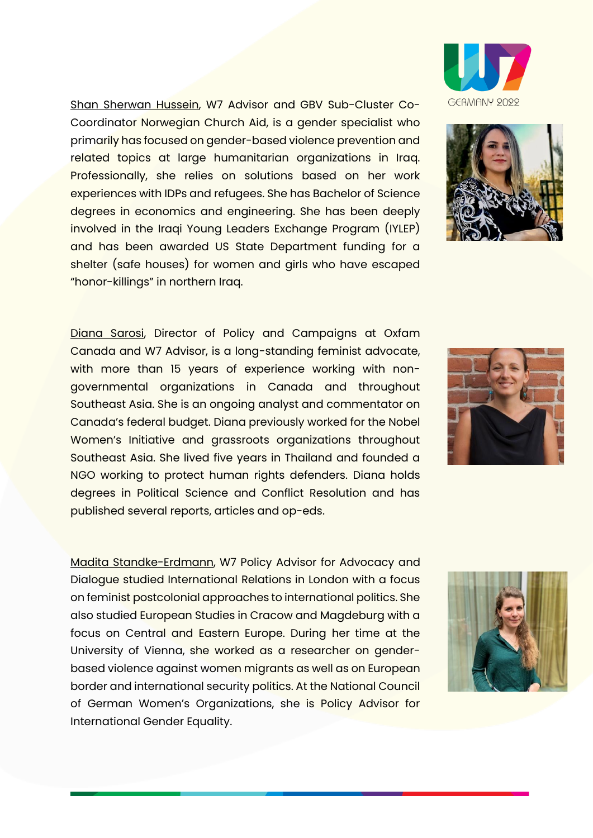Shan Sherwan Hussein, W7 Advisor and GBV Sub-Cluster Co-Coordinator Norwegian Church Aid, is a gender specialist who primarily has focused on gender-based violence prevention and related topics at large humanitarian organizations in Iraq. Professionally, she relies on solutions based on her work experiences with IDPs and refugees. She has Bachelor of Science degrees in economics and engineering. She has been deeply involved in the Iraqi Young Leaders Exchange Program (IYLEP) and has been awarded US State Department funding for a shelter (safe houses) for women and girls who have escaped "honor-killings" in northern Iraq.

Diana Sarosi, Director of Policy and Campaigns at Oxfam Canada and W7 Advisor, is a long-standing feminist advocate, with more than 15 years of experience working with nongovernmental organizations in Canada and throughout Southeast Asia. She is an ongoing analyst and commentator on Canada's federal budget. Diana previously worked for the Nobel Women's Initiative and grassroots organizations throughout Southeast Asia. She lived five years in Thailand and founded a NGO working to protect human rights defenders. Diana holds degrees in Political Science and Conflict Resolution and has published several reports, articles and op-eds.

Madita Standke-Erdmann, W7 Policy Advisor for Advocacy and Dialogue studied International Relations in London with a focus on feminist postcolonial approaches to international politics. She also studied European Studies in Cracow and Magdeburg with a focus on Central and Eastern Europe. During her time at the University of Vienna, she worked as a researcher on genderbased violence against women migrants as well as on European border and international security politics. At the National Council of German Women's Organizations, she is Policy Advisor for International Gender Equality.





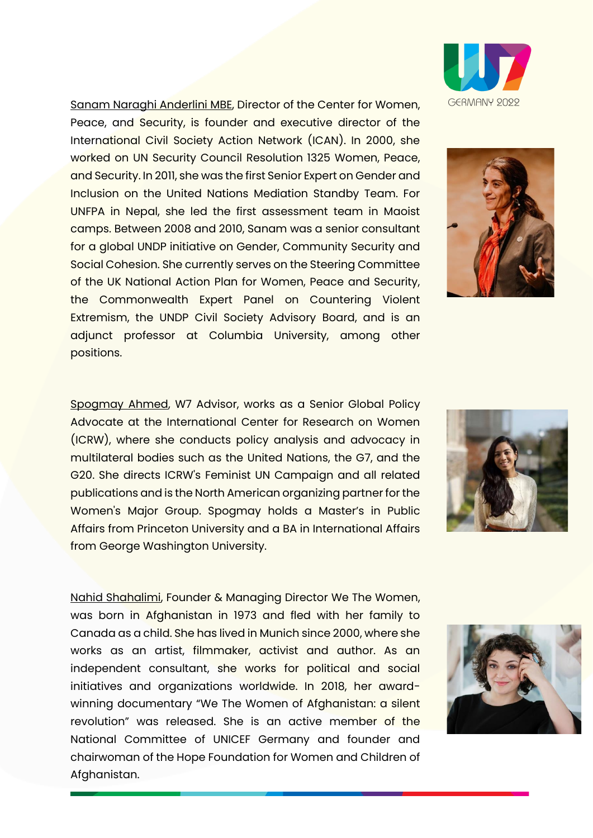Sanam Naraghi Anderlini MBE, Director of the Center for Women, Peace, and Security, is founder and executive director of the International Civil Society Action Network (ICAN). In 2000, she worked on UN Security Council Resolution 1325 Women, Peace, and Security. In 2011, she was the first Senior Expert on Gender and Inclusion on the United Nations Mediation Standby Team. For UNFPA in Nepal, she led the first assessment team in Maoist camps. Between 2008 and 2010, Sanam was a senior consultant for a global UNDP initiative on Gender, Community Security and Social Cohesion. She currently serves on the Steering Committee of the UK National Action Plan for Women, Peace and Security, the Commonwealth Expert Panel on Countering Violent Extremism, the UNDP Civil Society Advisory Board, and is an adjunct professor at Columbia University, among other positions.

Spogmay Ahmed, W7 Advisor, works as a Senior Global Policy Advocate at the International Center for Research on Women (ICRW), where she conducts policy analysis and advocacy in multilateral bodies such as the United Nations, the G7, and the G20. She directs ICRW's Feminist UN Campaign and all related publications and is the North American organizing partner for the Women's Major Group. Spogmay holds a Master's in Public Affairs from Princeton University and a BA in International Affairs from George Washington University.

Nahid Shahalimi, Founder & Managing Director We The Women, was born in Afghanistan in 1973 and fled with her family to Canada as a child. She has lived in Munich since 2000, where she works as an artist, filmmaker, activist and author. As an independent consultant, she works for political and social initiatives and organizations worldwide. In 2018, her awardwinning documentary "We The Women of Afghanistan: a silent revolution" was released. She is an active member of the National Committee of UNICEF Germany and founder and chairwoman of the Hope Foundation for Women and Children of Afghanistan.







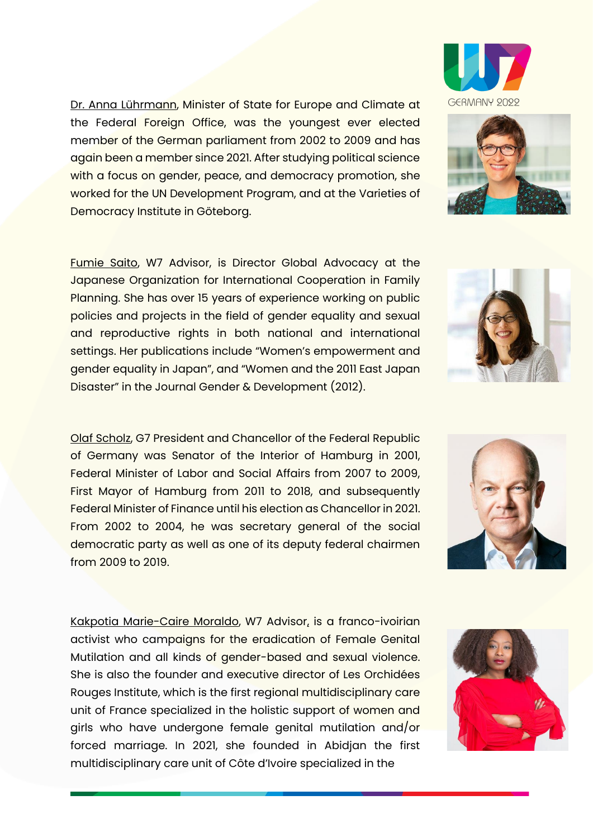Dr. Anna Lührmann, Minister of State for Europe and Climate at the Federal Foreign Office, was the youngest ever elected member of the German parliament from 2002 to 2009 and has again been a member since 2021. After studying political science with a focus on gender, peace, and democracy promotion, she worked for the UN Development Program, and at the Varieties of Democracy Institute in Göteborg.

Fumie Saito, W7 Advisor, is Director Global Advocacy at the Japanese Organization for International Cooperation in Family Planning. She has over 15 years of experience working on public policies and projects in the field of gender equality and sexual and reproductive rights in both national and international settings. Her publications include "Women's empowerment and gender equality in Japan", and "Women and the 2011 East Japan Disaster" in the Journal Gender & Development (2012).

Olaf Scholz, G7 President and Chancellor of the Federal Republic of Germany was Senator of the Interior of Hamburg in 2001, Federal Minister of Labor and Social Affairs from 2007 to 2009, First Mayor of Hamburg from 2011 to 2018, and subsequently Federal Minister of Finance until his election as Chancellor in 2021. From 2002 to 2004, he was secretary general of the social democratic party as well as one of its deputy federal chairmen from 2009 to 2019.

Kakpotia Marie-Caire Moraldo, W7 Advisor, is a franco-ivoirian activist who campaigns for the eradication of Female Genital Mutilation and all kinds of gender-based and sexual violence. She is also the founder and executive director of Les Orchidées Rouges Institute, which is the first regional multidisciplinary care unit of France specialized in the holistic support of women and girls who have undergone female genital mutilation and/or forced marriage. In 2021, she founded in Abidjan the first multidisciplinary care unit of Côte d'Ivoire specialized in the









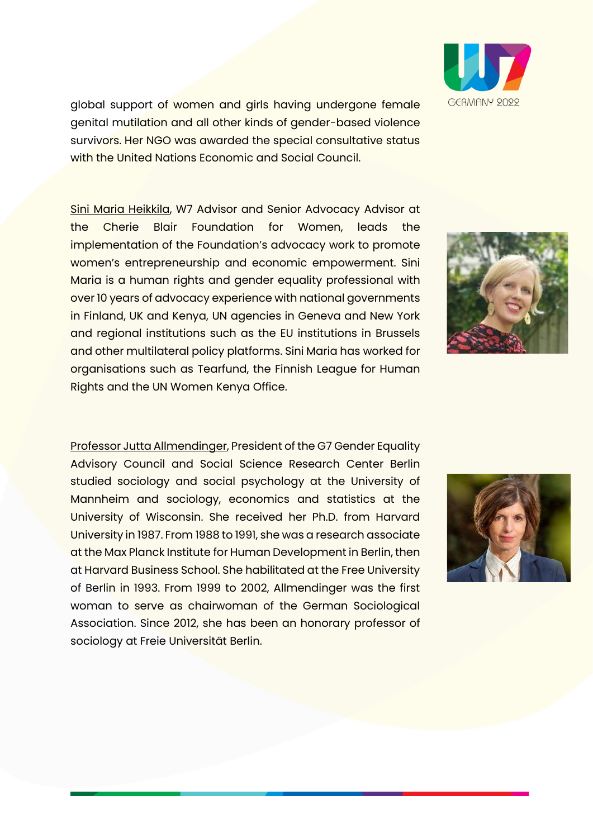global support of women and girls having undergone female genital mutilation and all other kinds of gender-based violence survivors. Her NGO was awarded the special consultative status with the United Nations Economic and Social Council.

Sini Maria Heikkila, W7 Advisor and Senior Advocacy Advisor at the Cherie Blair Foundation for Women, leads the implementation of the Foundation's advocacy work to promote women's entrepreneurship and economic empowerment. Sini Maria is a human rights and gender equality professional with over 10 years of advocacy experience with national governments in Finland, UK and Kenya, UN agencies in Geneva and New York and regional institutions such as the EU institutions in Brussels and other multilateral policy platforms. Sini Maria has worked for organisations such as Tearfund, the Finnish League for Human Rights and the UN Women Kenya Office.

Professor Jutta Allmendinger, President of the G7 Gender Equality Advisory Council and Social Science Research Center Berlin studied sociology and social psychology at the University of Mannheim and sociology, economics and statistics at the University of Wisconsin. She received her Ph.D. from Harvard University in 1987. From 1988 to 1991, she was a research associate at the Max Planck Institute for Human Development in Berlin, then at Harvard Business School. She habilitated at the Free University of Berlin in 1993. From 1999 to 2002, Allmendinger was the first woman to serve as chairwoman of the German Sociological Association. Since 2012, she has been an honorary professor of sociology at Freie Universität Berlin.